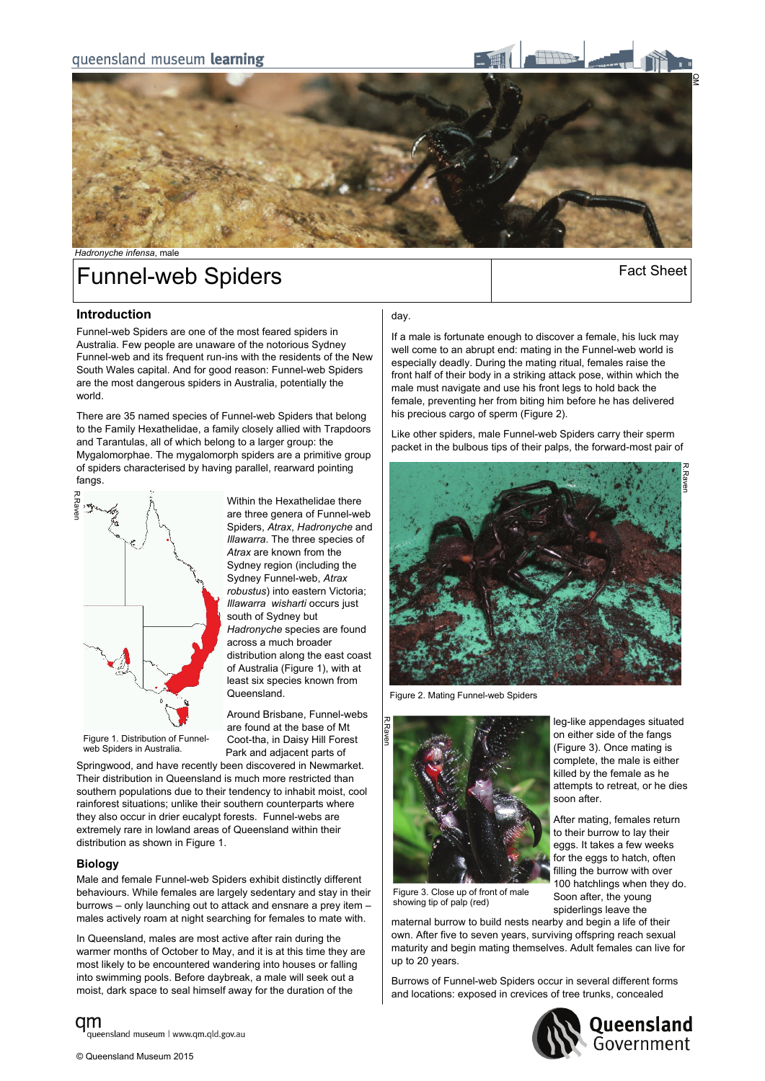

# Funnel-web Spiders **Funnel-web** Spiders **Funnel**

## **Introduction**

Funnel-web Spiders are one of the most feared spiders in Australia. Few people are unaware of the notorious Sydney Funnel-web and its frequent run-ins with the residents of the New South Wales capital. And for good reason: Funnel-web Spiders are the most dangerous spiders in Australia, potentially the world.

There are 35 named species of Funnel-web Spiders that belong to the Family Hexathelidae, a family closely allied with Trapdoors and Tarantulas, all of which belong to a larger group: the Mygalomorphae. The mygalomorph spiders are a primitive group of spiders characterised by having parallel, rearward pointing fangs.



Within the Hexathelidae there are three genera of Funnel-web Spiders, *Atrax*, *Hadronyche* and *Illawarra*. The three species of *Atrax* are known from the Sydney region (including the Sydney Funnel-web, *Atrax robustus*) into eastern Victoria; *Illawarra wisharti* occurs just south of Sydney but *Hadronyche* species are found across a much broader distribution along the east coast of Australia (Figure 1), with at least six species known from Queensland.

Around Brisbane, Funnel-webs are found at the base of Mt Coot-tha, in Daisy Hill Forest Park and adjacent parts of

Figure 1. Distribution of Funnelweb Spiders in Australia

Springwood, and have recently been discovered in Newmarket. Their distribution in Queensland is much more restricted than southern populations due to their tendency to inhabit moist, cool rainforest situations; unlike their southern counterparts where they also occur in drier eucalypt forests. Funnel-webs are extremely rare in lowland areas of Queensland within their distribution as shown in Figure 1.

### **Biology**

Male and female Funnel-web Spiders exhibit distinctly different behaviours. While females are largely sedentary and stay in their burrows – only launching out to attack and ensnare a prey item – males actively roam at night searching for females to mate with.

In Queensland, males are most active after rain during the warmer months of October to May, and it is at this time they are most likely to be encountered wandering into houses or falling into swimming pools. Before daybreak, a male will seek out a moist, dark space to seal himself away for the duration of the

### day.

If a male is fortunate enough to discover a female, his luck may well come to an abrupt end: mating in the Funnel-web world is especially deadly. During the mating ritual, females raise the front half of their body in a striking attack pose, within which the male must navigate and use his front legs to hold back the female, preventing her from biting him before he has delivered his precious cargo of sperm (Figure 2).

Like other spiders, male Funnel-web Spiders carry their sperm packet in the bulbous tips of their palps, the forward-most pair of



Figure 2. Mating Funnel-web Spiders



leg-like appendages situated on either side of the fangs (Figure 3). Once mating is complete, the male is either killed by the female as he attempts to retreat, or he dies soon after.

After mating, females return to their burrow to lay their eggs. It takes a few weeks for the eggs to hatch, often filling the burrow with over 100 hatchlings when they do. Soon after, the young spiderlings leave the

Figure 3. Close up of front of male showing tip of palp (red)

maternal burrow to build nests nearby and begin a life of their own. After five to seven years, surviving offspring reach sexual maturity and begin mating themselves. Adult females can live for up to 20 years.

Burrows of Funnel-web Spiders occur in several different forms and locations: exposed in crevices of tree trunks, concealed



am queensland museum | www.qm.qld.gov.au